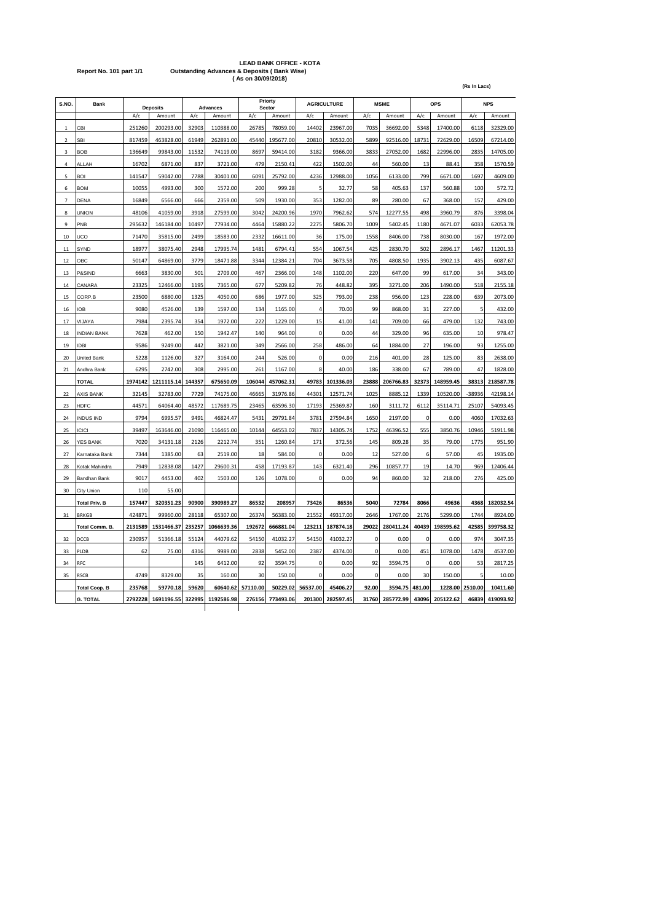# LEAD BANK OFFICE - KOTA<br>Report No. 101 part 1/1 Outstanding Advances & Deposits ( Bank Wise)<br>(As on 30/09/2018)

| S.NO.          | Bank                 | <b>Deposits</b> |            | <b>Advances</b>  |            |          | Priorty<br>Sector |             | <b>AGRICULTURE</b> |          | <b>MSMF</b> |          | OPS       |         | <b>NPS</b> |  |
|----------------|----------------------|-----------------|------------|------------------|------------|----------|-------------------|-------------|--------------------|----------|-------------|----------|-----------|---------|------------|--|
|                |                      | A/c             | Amount     | A/c              | Amount     | A/c      | Amount            | A/c         | Amount             | A/c      | Amount      | A/c      | Amount    | A/c     | Amount     |  |
| 1              | CBI                  | 251260          | 200293.00  | 32903            | 110388.00  | 26785    | 78059.00          | 14402       | 23967.00           | 7035     | 36692.00    | 5348     | 17400.00  | 6118    | 32329.00   |  |
| $\overline{2}$ | SBI                  | 817459          | 463828.00  | 61949            | 262891.00  | 45440    | 195677.00         | 20810       | 30532.00           | 5899     | 92516.00    | 18731    | 72629.00  | 16509   | 67214.00   |  |
| 3              | <b>BOB</b>           | 136649          | 99843.00   | 11532            | 74119.00   | 8697     | 59414.00          | 3182        | 9366.00            | 3833     | 27052.00    | 1682     | 22996.00  | 2835    | 14705.00   |  |
| $\overline{a}$ | ALL AH               | 16702           | 6871.00    | 837              | 3721.00    | 479      | 2150.41           | 422         | 1502.00            | 44       | 560.00      | 13       | 88.41     | 358     | 1570.59    |  |
| 5              | <b>BOI</b>           | 141547          | 59042.00   | 7788             | 30401.00   | 6091     | 25792.00          | 4236        | 12988.00           | 1056     | 6133.00     | 799      | 6671.00   | 1697    | 4609.00    |  |
| 6              | <b>BOM</b>           | 10055           | 4993.00    | 300              | 1572.00    | 200      | 999.28            | 5           | 32.77              | 58       | 405.63      | 137      | 560.88    | 100     | 572.72     |  |
| 7              | DENA                 | 16849           | 6566.00    | 666              | 2359.00    | 509      | 1930.00           | 353         | 1282.00            | 89       | 280.00      | 67       | 368.00    | 157     | 429.00     |  |
| 8              | UNION                | 48106           | 41059.00   | 3918             | 27599.00   | 3042     | 24200.96          | 1970        | 7962.62            | 574      | 12277.55    | 498      | 3960.79   | 876     | 3398.04    |  |
| 9              | PNB                  | 295632          | 146184.00  | 10497            | 77934.00   | 4464     | 15880.22          | 2275        | 5806.70            | 1009     | 5402.45     | 1180     | 4671.07   | 6033    | 62053.78   |  |
| 10             | UCO                  | 71470           | 35815.00   | 2499             | 18583.00   | 2332     | 16611.00          | 36          | 175.00             | 1558     | 8406.00     | 738      | 8030.00   | 167     | 1972.00    |  |
| 11             | SYND                 | 18977           | 38075.40   | 2948             | 17995.74   | 1481     | 6794.41           | 554         | 1067.54            | 425      | 2830.70     | 502      | 2896.17   | 1467    | 11201.33   |  |
| 12             | ОВС                  | 50147           | 64869.00   | 377 <sup>c</sup> | 18471.88   | 3344     | 12384.21          | 704         | 3673.58            | 705      | 4808.50     | 1935     | 3902.13   | 435     | 6087.67    |  |
| 13             | P&SIND               | 6663            | 3830.00    | 501              | 2709.00    | 467      | 2366.00           | 148         | 1102.00            | 220      | 647.00      | 99       | 617.00    | 34      | 343.00     |  |
| 14             | CANARA               | 23325           | 12466.00   | 1195             | 7365.00    | 677      | 5209.82           | 76          | 448.82             | 395      | 3271.00     | 206      | 1490.00   | 518     | 2155.18    |  |
| 15             | CORP.B               | 23500           | 6880.00    | 1325             | 4050.00    | 686      | 1977.00           | 325         | 793.00             | 238      | 956.00      | 123      | 228.00    | 639     | 2073.00    |  |
| 16             | IOB                  | 9080            | 4526.00    | 139              | 1597.00    | 134      | 1165.00           | 4           | 70.00              | 99       | 868.00      | 31       | 227.00    | 5       | 432.00     |  |
| 17             | VIJAYA               | 7984            | 2395.74    | 354              | 1972.00    | 222      | 1229.00           | 15          | 41.00              | 141      | 709.00      | 66       | 479.00    | 132     | 743.00     |  |
| 18             | <b>INDIAN BANK</b>   | 7628            | 462.00     | 150              | 1942.47    | 140      | 964.00            | $\pmb{0}$   | 0.00               | 44       | 329.00      | 96       | 635.00    | 10      | 978.47     |  |
| 19             | DBI                  | 9586            | 9249.00    | 442              | 3821.00    | 349      | 2566.00           | 258         | 486.00             | 64       | 1884.00     | 27       | 196.00    | 93      | 1255.00    |  |
| 20             | <b>United Bank</b>   | 5228            | 1126.00    | 327              | 3164.00    | 244      | 526.00            | 0           | 0.00               | 216      | 401.00      | 28       | 125.00    | 83      | 2638.00    |  |
| 21             | Andhra Bank          | 6295            | 2742.00    | 308              | 2995.00    | 261      | 1167.00           | 8           | 40.00              | 186      | 338.00      | 67       | 789.00    | 47      | 1828.00    |  |
|                | <b>TOTAL</b>         | 1974142         | 1211115.14 | 144357           | 675650.09  | 106044   | 457062.31         | 49783       | 101336.03          | 23888    | 206766.83   | 32373    | 148959.45 | 38313   | 218587.78  |  |
| 22             | <b>AXIS BANK</b>     | 32145           | 32783.00   | 7729             | 74175.00   | 46665    | 31976.86          | 44301       | 12571.74           | 1025     | 8885.12     | 1339     | 10520.00  | -38936  | 42198.14   |  |
| 23             | <b>HDFC</b>          | 44571           | 64064.40   | 48572            | 117689.75  | 23465    | 63596.30          | 17193       | 25369.87           | 160      | 3111.72     | 6112     | 35114.71  | 25107   | 54093.45   |  |
| 24             | <b>NDUS IND</b>      | 9794            | 6995.57    | 9491             | 46824.47   | 5431     | 29791.84          | 3781        | 27594.84           | 1650     | 2197.00     | 0        | 0.00      | 4060    | 17032.63   |  |
| 25             | <b>CICI</b>          | 39497           | 163646.00  | 21090            | 116465.00  | 10144    | 64553.02          | 7837        | 14305.74           | 1752     | 46396.52    | 555      | 3850.76   | 10946   | 51911.98   |  |
| 26             | YES BANK             | 7020            | 34131.18   | 2126             | 2212.74    | 351      | 1260.84           | 171         | 372.56             | 145      | 809.28      | 35       | 79.00     | 1775    | 951.90     |  |
| 27             | Karnataka Bank       | 7344            | 1385.00    | 63               | 2519.00    | 18       | 584.00            | $\mathbf 0$ | 0.00               | 12       | 527.00      | 6        | 57.00     | 45      | 1935.00    |  |
| 28             | Kotak Mahindra       | 7949            | 12838.08   | 1427             | 29600.31   | 458      | 17193.87          | 143         | 6321.40            | 296      | 10857.77    | 19       | 14.70     | 969     | 12406.44   |  |
| 29             | Bandhan Bank         | 9017            | 4453.00    | 402              | 1503.00    | 126      | 1078.00           | $\mathbf 0$ | 0.00               | 94       | 860.00      | 32       | 218.00    | 276     | 425.00     |  |
| 30             | City Union           | 110             | 55.00      |                  |            |          |                   |             |                    |          |             |          |           |         |            |  |
|                | <b>Total Priv. B</b> | 157447          | 320351.23  | 90900            | 390989.27  | 86532    | 208957            | 73426       | 86536              | 5040     | 72784       | 8066     | 49636     | 4368    | 182032.54  |  |
| 31             | <b>BRKGB</b>         | 424871          | 99960.00   | 28118            | 65307.00   | 26374    | 56383.00          | 21552       | 49317.00           | 2646     | 1767.00     | 2176     | 5299.00   | 1744    | 8924.00    |  |
|                | Total Comm. B.       | 2131589         | 1531466.37 | 235257           | 1066639.36 | 192672   | 666881.04         | 123211      | 187874.18          | 29022    | 280411.24   | 40439    | 198595.62 | 42585   | 399758.32  |  |
| 32             | DCCB                 | 230957          | 51366.18   | 55124            | 44079.62   | 54150    | 41032.27          | 54150       | 41032.27           | $\Omega$ | 0.00        | $\Omega$ | 0.00      | 974     | 3047.35    |  |
| 33             | PLDB                 | 62              | 75.00      | 4316             | 9989.00    | 2838     | 5452.00           | 2387        | 4374.00            | 0        | 0.00        | 451      | 1078.00   | 1478    | 4537.00    |  |
| 34             | RFC                  |                 |            | 145              | 6412.00    | 92       | 3594.75           | 0           | 0.00               | 92       | 3594.75     | 0        | 0.00      | 53      | 2817.25    |  |
| 35             | <b>RSCB</b>          | 4749            | 8329.00    | 35               | 160.00     | 30       | 150.00            | 0           | 0.00               | 0        | 0.00        | 30       | 150.00    | 5       | 10.00      |  |
|                | <b>Total Coop. B</b> | 235768          | 59770.18   | 59620            | 60640.62   | 57110.00 | 50229.02          | 56537.00    | 45406.27           | 92.00    | 3594.75     | 481.00   | 1228.00   | 2510.00 | 10411.60   |  |
|                | <b>G. TOTAL</b>      | 2792228         | 1691196.55 | 322995           | 1192586.98 | 276156   | 773493.06         | 201300      | 282597.45          | 31760    | 285772.99   | 43096    | 205122.62 | 46839   | 419093.92  |  |

**(Rs In Lacs)**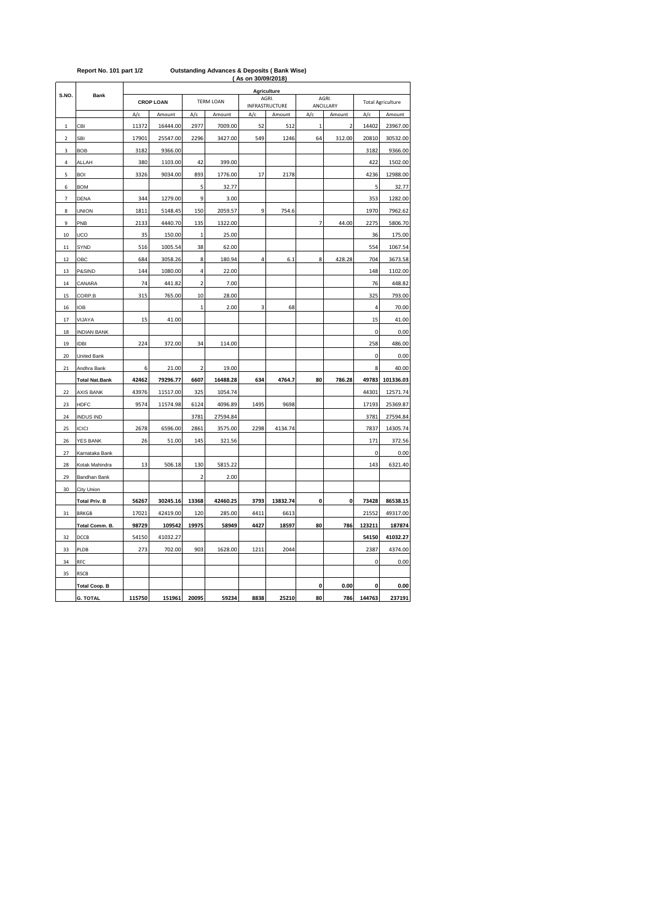| Agriculture<br>S.NO.<br><b>Bank</b><br>AGRI.<br>AGRI.<br><b>CROP LOAN</b><br><b>TERM LOAN</b><br><b>INFRASTRUCTURE</b><br>ANCILLARY<br>A/c<br>A/c<br>A/c<br>A/c<br>Amount<br>Amount<br>Amount<br>Amount<br>A/c<br>16444.00<br>2977<br>7009.00<br>14402<br>CBI<br>11372<br>52<br>$\mathbf{1}$<br>$\mathbf 2$<br>512<br>$\mathbf 1$<br>$\mathbf 2$<br><b>SBI</b><br>17901<br>25547.00<br>2296<br>3427.00<br>549<br>1246<br>64<br>312.00<br>20810<br>3<br><b>BOB</b><br>3182<br>9366.00<br>3182<br>ALLAH<br>380<br>1103.00<br>42<br>399.00<br>422<br>4<br>893<br>5<br><b>BOI</b><br>3326<br>9034.00<br>1776.00<br>17<br>2178<br>4236<br>5<br>6<br><b>BOM</b><br>32.77<br>5<br>9<br>$\overline{7}$<br>344<br>1279.00<br>3.00<br>353<br><b>DENA</b><br>150<br>2059.57<br>9<br>1970<br>8<br><b>UNION</b><br>1811<br>5148.45<br>754.6<br>9<br>PNB<br>2133<br>4440.70<br>135<br>1322.00<br>$\overline{7}$<br>44.00<br>2275<br>10<br>UCO<br>35<br>150.00<br>$\mathbf{1}$<br>25.00<br>36<br>1005.54<br>SYND<br>516<br>38<br>62.00<br>554<br>11<br>8<br>180.94<br>4<br>8<br>12<br>OBC<br>684<br>3058.26<br>6.1<br>428.28<br>704<br>1080.00<br>4<br>148<br>13<br>P&SIND<br>144<br>22.00<br>$14\,$<br>CANARA<br>74<br>441.82<br>$\overline{\mathbf{c}}$<br>7.00<br>76<br>10<br>325<br>15<br>CORP.B<br>315<br>765.00<br>28.00<br><b>IOB</b><br>2.00<br>3<br>68<br>16<br>$\mathbf{1}$<br>4<br>15<br>17<br>VIJAYA<br>41.00<br>15<br><b>INDIAN BANK</b><br>$\mathbf 0$<br>18<br>19<br><b>IDBI</b><br>224<br>372.00<br>114.00<br>258<br>34<br>20<br>United Bank<br>0<br>6<br>19.00<br>8<br>Andhra Bank<br>21.00<br>$\overline{\mathbf{c}}$<br>21<br>42462<br>79296.77<br>6607<br>16488.28<br>634<br>4764.7<br>80<br>49783<br><b>Total Nat.Bank</b><br>786.28<br><b>AXIS BANK</b><br>43976<br>11517.00<br>325<br>1054.74<br>44301<br>22<br>4096.89<br>1495<br>9698<br>23<br><b>HDFC</b><br>9574<br>11574.98<br>6124<br>17193<br><b>INDUS IND</b><br>3781<br>27594.84<br>3781<br>24<br>6596.00<br><b>ICICI</b><br>2678<br>2861<br>3575.00<br>2298<br>4134.74<br>25<br>7837<br>26<br>51.00<br>145<br>171<br>26<br><b>YES BANK</b><br>321.56<br>0<br>27<br>Karnataka Bank<br>13<br>506.18<br>130<br>5815.22<br>143<br>28<br>Kotak Mahindra<br>29<br>Bandhan Bank<br>$\overline{2}$<br>2.00<br>30<br>City Union<br><b>Total Priv. B</b><br>30245.16<br>42460.25<br>3793<br>13832.74<br>0<br>0<br>73428<br>56267<br>13368<br>17021<br>42419.00<br>285.00<br>4411<br>21552<br><b>BRKGB</b><br>120<br>6613<br>31 | <b>Total Agriculture</b><br>Amount                                                               |
|----------------------------------------------------------------------------------------------------------------------------------------------------------------------------------------------------------------------------------------------------------------------------------------------------------------------------------------------------------------------------------------------------------------------------------------------------------------------------------------------------------------------------------------------------------------------------------------------------------------------------------------------------------------------------------------------------------------------------------------------------------------------------------------------------------------------------------------------------------------------------------------------------------------------------------------------------------------------------------------------------------------------------------------------------------------------------------------------------------------------------------------------------------------------------------------------------------------------------------------------------------------------------------------------------------------------------------------------------------------------------------------------------------------------------------------------------------------------------------------------------------------------------------------------------------------------------------------------------------------------------------------------------------------------------------------------------------------------------------------------------------------------------------------------------------------------------------------------------------------------------------------------------------------------------------------------------------------------------------------------------------------------------------------------------------------------------------------------------------------------------------------------------------------------------------------------------------------------------------------------------------------------------------------------------------------------------------------------------------------------------------------------------------------------------------------------------------------------------------------|--------------------------------------------------------------------------------------------------|
|                                                                                                                                                                                                                                                                                                                                                                                                                                                                                                                                                                                                                                                                                                                                                                                                                                                                                                                                                                                                                                                                                                                                                                                                                                                                                                                                                                                                                                                                                                                                                                                                                                                                                                                                                                                                                                                                                                                                                                                                                                                                                                                                                                                                                                                                                                                                                                                                                                                                                        | 23967.00<br>30532.00<br>9366.00<br>1502.00<br>12988.00<br>32.77<br>1282.00<br>7962.62<br>5806.70 |
|                                                                                                                                                                                                                                                                                                                                                                                                                                                                                                                                                                                                                                                                                                                                                                                                                                                                                                                                                                                                                                                                                                                                                                                                                                                                                                                                                                                                                                                                                                                                                                                                                                                                                                                                                                                                                                                                                                                                                                                                                                                                                                                                                                                                                                                                                                                                                                                                                                                                                        |                                                                                                  |
|                                                                                                                                                                                                                                                                                                                                                                                                                                                                                                                                                                                                                                                                                                                                                                                                                                                                                                                                                                                                                                                                                                                                                                                                                                                                                                                                                                                                                                                                                                                                                                                                                                                                                                                                                                                                                                                                                                                                                                                                                                                                                                                                                                                                                                                                                                                                                                                                                                                                                        |                                                                                                  |
|                                                                                                                                                                                                                                                                                                                                                                                                                                                                                                                                                                                                                                                                                                                                                                                                                                                                                                                                                                                                                                                                                                                                                                                                                                                                                                                                                                                                                                                                                                                                                                                                                                                                                                                                                                                                                                                                                                                                                                                                                                                                                                                                                                                                                                                                                                                                                                                                                                                                                        |                                                                                                  |
|                                                                                                                                                                                                                                                                                                                                                                                                                                                                                                                                                                                                                                                                                                                                                                                                                                                                                                                                                                                                                                                                                                                                                                                                                                                                                                                                                                                                                                                                                                                                                                                                                                                                                                                                                                                                                                                                                                                                                                                                                                                                                                                                                                                                                                                                                                                                                                                                                                                                                        |                                                                                                  |
|                                                                                                                                                                                                                                                                                                                                                                                                                                                                                                                                                                                                                                                                                                                                                                                                                                                                                                                                                                                                                                                                                                                                                                                                                                                                                                                                                                                                                                                                                                                                                                                                                                                                                                                                                                                                                                                                                                                                                                                                                                                                                                                                                                                                                                                                                                                                                                                                                                                                                        |                                                                                                  |
|                                                                                                                                                                                                                                                                                                                                                                                                                                                                                                                                                                                                                                                                                                                                                                                                                                                                                                                                                                                                                                                                                                                                                                                                                                                                                                                                                                                                                                                                                                                                                                                                                                                                                                                                                                                                                                                                                                                                                                                                                                                                                                                                                                                                                                                                                                                                                                                                                                                                                        |                                                                                                  |
|                                                                                                                                                                                                                                                                                                                                                                                                                                                                                                                                                                                                                                                                                                                                                                                                                                                                                                                                                                                                                                                                                                                                                                                                                                                                                                                                                                                                                                                                                                                                                                                                                                                                                                                                                                                                                                                                                                                                                                                                                                                                                                                                                                                                                                                                                                                                                                                                                                                                                        |                                                                                                  |
|                                                                                                                                                                                                                                                                                                                                                                                                                                                                                                                                                                                                                                                                                                                                                                                                                                                                                                                                                                                                                                                                                                                                                                                                                                                                                                                                                                                                                                                                                                                                                                                                                                                                                                                                                                                                                                                                                                                                                                                                                                                                                                                                                                                                                                                                                                                                                                                                                                                                                        |                                                                                                  |
|                                                                                                                                                                                                                                                                                                                                                                                                                                                                                                                                                                                                                                                                                                                                                                                                                                                                                                                                                                                                                                                                                                                                                                                                                                                                                                                                                                                                                                                                                                                                                                                                                                                                                                                                                                                                                                                                                                                                                                                                                                                                                                                                                                                                                                                                                                                                                                                                                                                                                        |                                                                                                  |
|                                                                                                                                                                                                                                                                                                                                                                                                                                                                                                                                                                                                                                                                                                                                                                                                                                                                                                                                                                                                                                                                                                                                                                                                                                                                                                                                                                                                                                                                                                                                                                                                                                                                                                                                                                                                                                                                                                                                                                                                                                                                                                                                                                                                                                                                                                                                                                                                                                                                                        |                                                                                                  |
|                                                                                                                                                                                                                                                                                                                                                                                                                                                                                                                                                                                                                                                                                                                                                                                                                                                                                                                                                                                                                                                                                                                                                                                                                                                                                                                                                                                                                                                                                                                                                                                                                                                                                                                                                                                                                                                                                                                                                                                                                                                                                                                                                                                                                                                                                                                                                                                                                                                                                        | 175.00                                                                                           |
|                                                                                                                                                                                                                                                                                                                                                                                                                                                                                                                                                                                                                                                                                                                                                                                                                                                                                                                                                                                                                                                                                                                                                                                                                                                                                                                                                                                                                                                                                                                                                                                                                                                                                                                                                                                                                                                                                                                                                                                                                                                                                                                                                                                                                                                                                                                                                                                                                                                                                        | 1067.54                                                                                          |
|                                                                                                                                                                                                                                                                                                                                                                                                                                                                                                                                                                                                                                                                                                                                                                                                                                                                                                                                                                                                                                                                                                                                                                                                                                                                                                                                                                                                                                                                                                                                                                                                                                                                                                                                                                                                                                                                                                                                                                                                                                                                                                                                                                                                                                                                                                                                                                                                                                                                                        | 3673.58                                                                                          |
|                                                                                                                                                                                                                                                                                                                                                                                                                                                                                                                                                                                                                                                                                                                                                                                                                                                                                                                                                                                                                                                                                                                                                                                                                                                                                                                                                                                                                                                                                                                                                                                                                                                                                                                                                                                                                                                                                                                                                                                                                                                                                                                                                                                                                                                                                                                                                                                                                                                                                        | 1102.00                                                                                          |
|                                                                                                                                                                                                                                                                                                                                                                                                                                                                                                                                                                                                                                                                                                                                                                                                                                                                                                                                                                                                                                                                                                                                                                                                                                                                                                                                                                                                                                                                                                                                                                                                                                                                                                                                                                                                                                                                                                                                                                                                                                                                                                                                                                                                                                                                                                                                                                                                                                                                                        | 448.82                                                                                           |
|                                                                                                                                                                                                                                                                                                                                                                                                                                                                                                                                                                                                                                                                                                                                                                                                                                                                                                                                                                                                                                                                                                                                                                                                                                                                                                                                                                                                                                                                                                                                                                                                                                                                                                                                                                                                                                                                                                                                                                                                                                                                                                                                                                                                                                                                                                                                                                                                                                                                                        | 793.00                                                                                           |
|                                                                                                                                                                                                                                                                                                                                                                                                                                                                                                                                                                                                                                                                                                                                                                                                                                                                                                                                                                                                                                                                                                                                                                                                                                                                                                                                                                                                                                                                                                                                                                                                                                                                                                                                                                                                                                                                                                                                                                                                                                                                                                                                                                                                                                                                                                                                                                                                                                                                                        | 70.00                                                                                            |
|                                                                                                                                                                                                                                                                                                                                                                                                                                                                                                                                                                                                                                                                                                                                                                                                                                                                                                                                                                                                                                                                                                                                                                                                                                                                                                                                                                                                                                                                                                                                                                                                                                                                                                                                                                                                                                                                                                                                                                                                                                                                                                                                                                                                                                                                                                                                                                                                                                                                                        | 41.00                                                                                            |
|                                                                                                                                                                                                                                                                                                                                                                                                                                                                                                                                                                                                                                                                                                                                                                                                                                                                                                                                                                                                                                                                                                                                                                                                                                                                                                                                                                                                                                                                                                                                                                                                                                                                                                                                                                                                                                                                                                                                                                                                                                                                                                                                                                                                                                                                                                                                                                                                                                                                                        | 0.00                                                                                             |
|                                                                                                                                                                                                                                                                                                                                                                                                                                                                                                                                                                                                                                                                                                                                                                                                                                                                                                                                                                                                                                                                                                                                                                                                                                                                                                                                                                                                                                                                                                                                                                                                                                                                                                                                                                                                                                                                                                                                                                                                                                                                                                                                                                                                                                                                                                                                                                                                                                                                                        | 486.00                                                                                           |
|                                                                                                                                                                                                                                                                                                                                                                                                                                                                                                                                                                                                                                                                                                                                                                                                                                                                                                                                                                                                                                                                                                                                                                                                                                                                                                                                                                                                                                                                                                                                                                                                                                                                                                                                                                                                                                                                                                                                                                                                                                                                                                                                                                                                                                                                                                                                                                                                                                                                                        | 0.00                                                                                             |
|                                                                                                                                                                                                                                                                                                                                                                                                                                                                                                                                                                                                                                                                                                                                                                                                                                                                                                                                                                                                                                                                                                                                                                                                                                                                                                                                                                                                                                                                                                                                                                                                                                                                                                                                                                                                                                                                                                                                                                                                                                                                                                                                                                                                                                                                                                                                                                                                                                                                                        | 40.00                                                                                            |
|                                                                                                                                                                                                                                                                                                                                                                                                                                                                                                                                                                                                                                                                                                                                                                                                                                                                                                                                                                                                                                                                                                                                                                                                                                                                                                                                                                                                                                                                                                                                                                                                                                                                                                                                                                                                                                                                                                                                                                                                                                                                                                                                                                                                                                                                                                                                                                                                                                                                                        | 101336.03                                                                                        |
|                                                                                                                                                                                                                                                                                                                                                                                                                                                                                                                                                                                                                                                                                                                                                                                                                                                                                                                                                                                                                                                                                                                                                                                                                                                                                                                                                                                                                                                                                                                                                                                                                                                                                                                                                                                                                                                                                                                                                                                                                                                                                                                                                                                                                                                                                                                                                                                                                                                                                        | 12571.74                                                                                         |
|                                                                                                                                                                                                                                                                                                                                                                                                                                                                                                                                                                                                                                                                                                                                                                                                                                                                                                                                                                                                                                                                                                                                                                                                                                                                                                                                                                                                                                                                                                                                                                                                                                                                                                                                                                                                                                                                                                                                                                                                                                                                                                                                                                                                                                                                                                                                                                                                                                                                                        | 25369.87                                                                                         |
|                                                                                                                                                                                                                                                                                                                                                                                                                                                                                                                                                                                                                                                                                                                                                                                                                                                                                                                                                                                                                                                                                                                                                                                                                                                                                                                                                                                                                                                                                                                                                                                                                                                                                                                                                                                                                                                                                                                                                                                                                                                                                                                                                                                                                                                                                                                                                                                                                                                                                        | 27594.84                                                                                         |
|                                                                                                                                                                                                                                                                                                                                                                                                                                                                                                                                                                                                                                                                                                                                                                                                                                                                                                                                                                                                                                                                                                                                                                                                                                                                                                                                                                                                                                                                                                                                                                                                                                                                                                                                                                                                                                                                                                                                                                                                                                                                                                                                                                                                                                                                                                                                                                                                                                                                                        | 14305.74                                                                                         |
|                                                                                                                                                                                                                                                                                                                                                                                                                                                                                                                                                                                                                                                                                                                                                                                                                                                                                                                                                                                                                                                                                                                                                                                                                                                                                                                                                                                                                                                                                                                                                                                                                                                                                                                                                                                                                                                                                                                                                                                                                                                                                                                                                                                                                                                                                                                                                                                                                                                                                        | 372.56                                                                                           |
|                                                                                                                                                                                                                                                                                                                                                                                                                                                                                                                                                                                                                                                                                                                                                                                                                                                                                                                                                                                                                                                                                                                                                                                                                                                                                                                                                                                                                                                                                                                                                                                                                                                                                                                                                                                                                                                                                                                                                                                                                                                                                                                                                                                                                                                                                                                                                                                                                                                                                        | 0.00                                                                                             |
|                                                                                                                                                                                                                                                                                                                                                                                                                                                                                                                                                                                                                                                                                                                                                                                                                                                                                                                                                                                                                                                                                                                                                                                                                                                                                                                                                                                                                                                                                                                                                                                                                                                                                                                                                                                                                                                                                                                                                                                                                                                                                                                                                                                                                                                                                                                                                                                                                                                                                        |                                                                                                  |
|                                                                                                                                                                                                                                                                                                                                                                                                                                                                                                                                                                                                                                                                                                                                                                                                                                                                                                                                                                                                                                                                                                                                                                                                                                                                                                                                                                                                                                                                                                                                                                                                                                                                                                                                                                                                                                                                                                                                                                                                                                                                                                                                                                                                                                                                                                                                                                                                                                                                                        |                                                                                                  |
|                                                                                                                                                                                                                                                                                                                                                                                                                                                                                                                                                                                                                                                                                                                                                                                                                                                                                                                                                                                                                                                                                                                                                                                                                                                                                                                                                                                                                                                                                                                                                                                                                                                                                                                                                                                                                                                                                                                                                                                                                                                                                                                                                                                                                                                                                                                                                                                                                                                                                        | 6321.40                                                                                          |
|                                                                                                                                                                                                                                                                                                                                                                                                                                                                                                                                                                                                                                                                                                                                                                                                                                                                                                                                                                                                                                                                                                                                                                                                                                                                                                                                                                                                                                                                                                                                                                                                                                                                                                                                                                                                                                                                                                                                                                                                                                                                                                                                                                                                                                                                                                                                                                                                                                                                                        |                                                                                                  |
|                                                                                                                                                                                                                                                                                                                                                                                                                                                                                                                                                                                                                                                                                                                                                                                                                                                                                                                                                                                                                                                                                                                                                                                                                                                                                                                                                                                                                                                                                                                                                                                                                                                                                                                                                                                                                                                                                                                                                                                                                                                                                                                                                                                                                                                                                                                                                                                                                                                                                        |                                                                                                  |
| 109542<br>19975<br>58949<br>4427<br>18597<br>80<br>786<br>123211<br>Total Comm. B.<br>98729                                                                                                                                                                                                                                                                                                                                                                                                                                                                                                                                                                                                                                                                                                                                                                                                                                                                                                                                                                                                                                                                                                                                                                                                                                                                                                                                                                                                                                                                                                                                                                                                                                                                                                                                                                                                                                                                                                                                                                                                                                                                                                                                                                                                                                                                                                                                                                                            | 86538.15                                                                                         |
| DCCB<br>54150<br>41032.27<br>54150                                                                                                                                                                                                                                                                                                                                                                                                                                                                                                                                                                                                                                                                                                                                                                                                                                                                                                                                                                                                                                                                                                                                                                                                                                                                                                                                                                                                                                                                                                                                                                                                                                                                                                                                                                                                                                                                                                                                                                                                                                                                                                                                                                                                                                                                                                                                                                                                                                                     | 49317.00                                                                                         |
| 32                                                                                                                                                                                                                                                                                                                                                                                                                                                                                                                                                                                                                                                                                                                                                                                                                                                                                                                                                                                                                                                                                                                                                                                                                                                                                                                                                                                                                                                                                                                                                                                                                                                                                                                                                                                                                                                                                                                                                                                                                                                                                                                                                                                                                                                                                                                                                                                                                                                                                     | 187874                                                                                           |
| PLDB<br>702.00<br>903<br>1628.00<br>1211<br>2044<br>2387<br>33<br>273<br>0                                                                                                                                                                                                                                                                                                                                                                                                                                                                                                                                                                                                                                                                                                                                                                                                                                                                                                                                                                                                                                                                                                                                                                                                                                                                                                                                                                                                                                                                                                                                                                                                                                                                                                                                                                                                                                                                                                                                                                                                                                                                                                                                                                                                                                                                                                                                                                                                             | 41032.27                                                                                         |
| 34<br>RFC<br><b>RSCB</b>                                                                                                                                                                                                                                                                                                                                                                                                                                                                                                                                                                                                                                                                                                                                                                                                                                                                                                                                                                                                                                                                                                                                                                                                                                                                                                                                                                                                                                                                                                                                                                                                                                                                                                                                                                                                                                                                                                                                                                                                                                                                                                                                                                                                                                                                                                                                                                                                                                                               | 4374.00                                                                                          |
| 35                                                                                                                                                                                                                                                                                                                                                                                                                                                                                                                                                                                                                                                                                                                                                                                                                                                                                                                                                                                                                                                                                                                                                                                                                                                                                                                                                                                                                                                                                                                                                                                                                                                                                                                                                                                                                                                                                                                                                                                                                                                                                                                                                                                                                                                                                                                                                                                                                                                                                     | 0.00                                                                                             |
| <b>Total Coop. B</b><br>0<br>0.00<br>0<br>20095<br>80<br>144763<br><b>G. TOTAL</b><br>115750<br>151961<br>59234<br>8838<br>25210<br>786                                                                                                                                                                                                                                                                                                                                                                                                                                                                                                                                                                                                                                                                                                                                                                                                                                                                                                                                                                                                                                                                                                                                                                                                                                                                                                                                                                                                                                                                                                                                                                                                                                                                                                                                                                                                                                                                                                                                                                                                                                                                                                                                                                                                                                                                                                                                                | 0.00                                                                                             |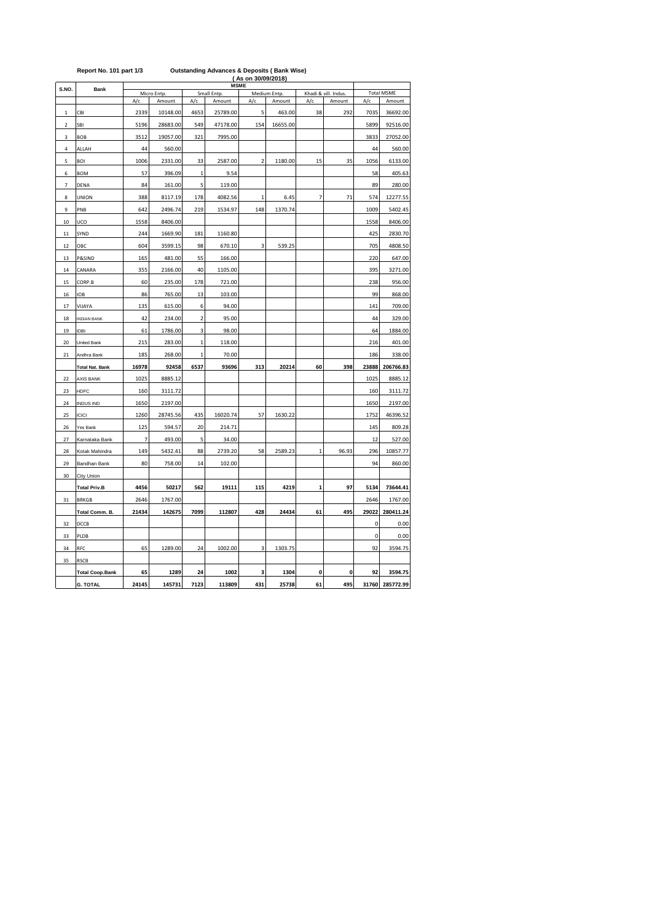|                | (As on 30/09/2018)<br><b>MSME</b> |                |             |                |             |                |              |                |                      |                   |                 |  |
|----------------|-----------------------------------|----------------|-------------|----------------|-------------|----------------|--------------|----------------|----------------------|-------------------|-----------------|--|
| S.NO.          | Bank                              |                | Micro Entp. |                | Small Entp. |                | Medium Entp. |                | Khadi & vill. Indus. | <b>Total MSME</b> |                 |  |
|                |                                   | A/c            | Amount      | A/c            | Amount      | A/c            | Amount       | A/c            | Amount               | A/c               | Amount          |  |
| $\mathbf{1}$   | CBI                               | 2339           | 10148.00    | 4653           | 25789.00    | 5              | 463.00       | 38             | 292                  | 7035              | 36692.00        |  |
| $\overline{2}$ | <b>SBI</b>                        | 5196           | 28683.00    | 549            | 47178.00    | 154            | 16655.00     |                |                      | 5899              | 92516.00        |  |
| 3              | <b>BOB</b>                        | 3512           | 19057.00    | 321            | 7995.00     |                |              |                |                      | 3833              | 27052.00        |  |
| 4              | ALLAH                             | 44             | 560.00      |                |             |                |              |                |                      | 44                | 560.00          |  |
| 5              | <b>BOI</b>                        | 1006           | 2331.00     | 33             | 2587.00     | $\overline{2}$ | 1180.00      | 15             | 35                   | 1056              | 6133.00         |  |
| 6              | <b>BOM</b>                        | 57             | 396.09      | $\mathbf{1}$   | 9.54        |                |              |                |                      | 58                | 405.63          |  |
| 7              | DENA                              | 84             | 161.00      | 5              | 119.00      |                |              |                |                      | 89                | 280.00          |  |
| 8              | UNION                             | 388            | 8117.19     | 178            | 4082.56     | 1              | 6.45         | $\overline{7}$ | 71                   | 574               | 12277.55        |  |
| 9              | PNB                               | 642            | 2496.74     | 219            | 1534.97     | 148            | 1370.74      |                |                      | 1009              | 5402.45         |  |
| 10             | UCO                               | 1558           | 8406.00     |                |             |                |              |                |                      | 1558              | 8406.00         |  |
| 11             | SYND                              | 244            | 1669.90     | 181            | 1160.80     |                |              |                |                      | 425               | 2830.70         |  |
| 12             | OBC                               | 604            | 3599.15     | 98             | 670.10      | 3              | 539.25       |                |                      | 705               | 4808.50         |  |
| 13             | P&SIND                            | 165            | 481.00      | 55             | 166.00      |                |              |                |                      | 220               | 647.00          |  |
| 14             | CANARA                            | 355            | 2166.00     | 40             | 1105.00     |                |              |                |                      | 395               | 3271.00         |  |
| 15             | CORP.B                            | 60             | 235.00      | 178            | 721.00      |                |              |                |                      | 238               | 956.00          |  |
| 16             | IOB                               | 86             | 765.00      | 13             | 103.00      |                |              |                |                      | 99                | 868.00          |  |
| 17             | VIJAYA                            | 135            | 615.00      | 6              | 94.00       |                |              |                |                      | 141               | 709.00          |  |
| 18             | <b>INDIAN BANK</b>                | 42             | 234.00      | $\overline{2}$ | 95.00       |                |              |                |                      | 44                | 329.00          |  |
| 19             | IDBI                              | 61             | 1786.00     | 3              | 98.00       |                |              |                |                      | 64                | 1884.00         |  |
| 20             | United Bank                       | 215            | 283.00      | $\mathbf 1$    | 118.00      |                |              |                |                      | 216               | 401.00          |  |
| 21             | Andhra Bank                       | 185            | 268.00      | $\mathbf{1}$   | 70.00       |                |              |                |                      | 186               | 338.00          |  |
|                | <b>Total Nat. Bank</b>            | 16978          | 92458       | 6537           | 93696       | 313            | 20214        | 60             | 398                  | 23888             | 206766.83       |  |
| 22             | <b>AXIS BANK</b>                  | 1025           | 8885.12     |                |             |                |              |                |                      | 1025              | 8885.12         |  |
| 23             | <b>HDFC</b>                       | 160            | 3111.72     |                |             |                |              |                |                      | 160               | 3111.72         |  |
|                |                                   |                |             |                |             |                |              |                |                      |                   |                 |  |
| 24             | <b>INDUS IND</b>                  | 1650           | 2197.00     |                |             |                |              |                |                      | 1650              | 2197.00         |  |
| 25             | <b>ICICI</b>                      | 1260           | 28745.56    | 435            | 16020.74    | 57             | 1630.22      |                |                      | 1752              | 46396.52        |  |
| 26             | Yes Bank                          | 125            | 594.57      | 20             | 214.71      |                |              |                |                      | 145               | 809.28          |  |
| 27             | Karnataka Bank                    | $\overline{7}$ | 493.00      | 5              | 34.00       |                |              |                |                      | 12                | 527.00          |  |
| 28             | Kotak Mahindra                    | 149            | 5432.41     | 88             | 2739.20     | 58             | 2589.23      | $\mathbf{1}$   | 96.93                | 296               | 10857.77        |  |
| 29             | Bandhan Bank                      | 80             | 758.00      | 14             | 102.00      |                |              |                |                      | 94                | 860.00          |  |
| 30             | City Union                        |                |             |                |             |                |              |                |                      |                   |                 |  |
|                | <b>Total Priv.B</b>               | 4456           | 50217       | 562            | 19111       | 115            | 4219         | 1              | 97                   | 5134              | 73644.41        |  |
| 31             | <b>BRKGB</b>                      | 2646           | 1767.00     |                |             |                |              |                |                      | 2646              | 1767.00         |  |
|                | Total Comm. B.                    | 21434          | 142675      | 7099           | 112807      | 428            | 24434        | 61             | 495                  | 29022             | 280411.24       |  |
| 32             | DCCB                              |                |             |                |             |                |              |                |                      | 0                 | 0.00            |  |
| 33             | PLDB                              |                |             |                |             |                |              |                |                      | $\mathbf 0$       | 0.00            |  |
| 34             | RFC                               | 65             | 1289.00     | 24             | 1002.00     | 3              | 1303.75      |                |                      | 92                | 3594.75         |  |
| 35             | <b>RSCB</b>                       |                |             |                |             |                |              |                |                      |                   |                 |  |
|                | <b>Total Coop.Bank</b>            | 65             | 1289        | 24             | 1002        | 3              | 1304         | 0              | 0                    | 92                | 3594.75         |  |
|                | <b>G. TOTAL</b>                   | 24145          | 145731      | 7123           | 113809      | 431            | 25738        | 61             | 495                  |                   | 31760 285772.99 |  |

### **Report No. 101 part 1/3 Outstanding Advances & Deposits ( Bank Wise)**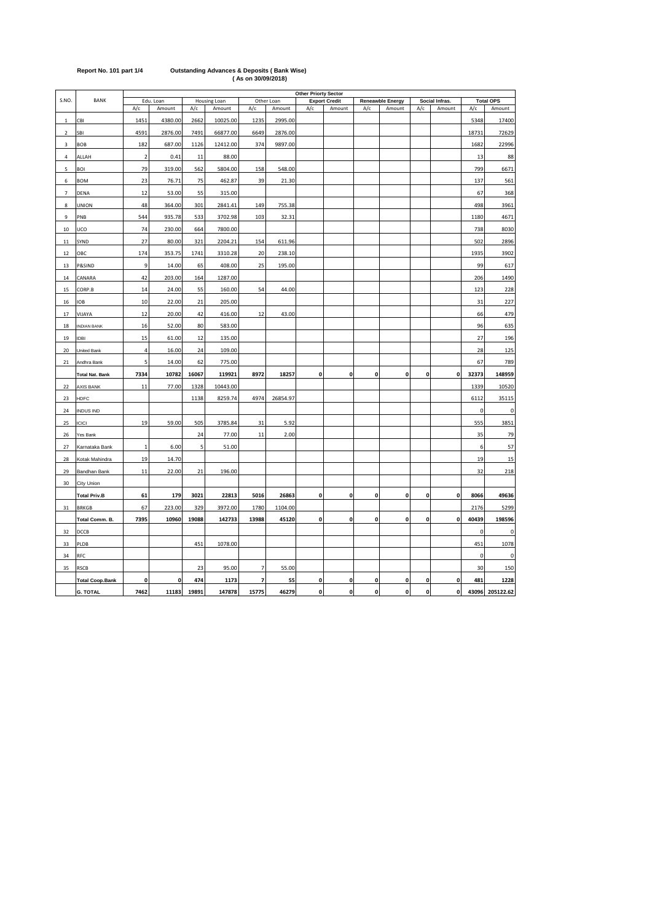|                         |                        | <b>Other Priorty Sector</b> |           |       |              |                |            |     |                      |                    |                         |              |                |             |                  |
|-------------------------|------------------------|-----------------------------|-----------|-------|--------------|----------------|------------|-----|----------------------|--------------------|-------------------------|--------------|----------------|-------------|------------------|
| S.NO.                   | <b>BANK</b>            |                             | Edu. Loan |       | Housing Loan |                | Other Loan |     | <b>Export Credit</b> |                    | <b>Reneawble Energy</b> |              | Social Infras. |             | <b>Total OPS</b> |
|                         |                        | A/c                         | Amount    | A/c   | Amount       | A/c            | Amount     | A/c | Amount               | A/c                | Amount                  | A/c          | Amount         | A/c         | Amount           |
| 1                       | CBI                    | 1451                        | 4380.00   | 2662  | 10025.00     | 1235           | 2995.00    |     |                      |                    |                         |              |                | 5348        | 17400            |
| $\overline{\mathbf{2}}$ | SBI                    | 4591                        | 2876.00   | 7491  | 66877.00     | 6649           | 2876.00    |     |                      |                    |                         |              |                | 18731       | 72629            |
| 3                       | <b>BOB</b>             | 182                         | 687.00    | 1126  | 12412.00     | 374            | 9897.00    |     |                      |                    |                         |              |                | 1682        | 22996            |
| $\overline{a}$          | ALLAH                  | $\overline{2}$              | 0.41      | 11    | 88.00        |                |            |     |                      |                    |                         |              |                | 13          | 88               |
| 5                       | BOI                    | 79                          | 319.00    | 562   | 5804.00      | 158            | 548.00     |     |                      |                    |                         |              |                | 799         | 6671             |
| 6                       | <b>BOM</b>             | 23                          | 76.71     | 75    | 462.87       | 39             | 21.30      |     |                      |                    |                         |              |                | 137         | 561              |
| $\overline{7}$          | DENA                   | 12                          | 53.00     | 55    | 315.00       |                |            |     |                      |                    |                         |              |                | 67          | 368              |
| 8                       | UNION                  | 48                          | 364.00    | 301   | 2841.41      | 149            | 755.38     |     |                      |                    |                         |              |                | 498         | 3961             |
| 9                       | PNB                    | 544                         | 935.78    | 533   | 3702.98      | 103            | 32.31      |     |                      |                    |                         |              |                | 1180        | 4671             |
| 10                      | UCO                    | 74                          | 230.00    | 664   | 7800.00      |                |            |     |                      |                    |                         |              |                | 738         | 8030             |
| 11                      | SYND                   | 27                          | 80.00     | 321   | 2204.21      | 154            | 611.96     |     |                      |                    |                         |              |                | 502         | 2896             |
| 12                      | OBC                    | 174                         | 353.75    | 1741  | 3310.28      | 20             | 238.10     |     |                      |                    |                         |              |                | 1935        | 3902             |
| 13                      | P&SIND                 | 9                           | 14.00     | 65    | 408.00       | 25             | 195.00     |     |                      |                    |                         |              |                | 99          | 617              |
| 14                      | CANARA                 | 42                          | 203.00    | 164   | 1287.00      |                |            |     |                      |                    |                         |              |                | 206         | 1490             |
| 15                      | CORP.B                 | 14                          | 24.00     | 55    | 160.00       | 54             | 44.00      |     |                      |                    |                         |              |                | 123         | 228              |
| 16                      | IOB                    | 10                          | 22.00     | 21    | 205.00       |                |            |     |                      |                    |                         |              |                | 31          | 227              |
| 17                      | VIJAYA                 | 12                          | 20.00     | 42    | 416.00       | 12             | 43.00      |     |                      |                    |                         |              |                | 66          | 479              |
| 18                      | <b>NDIAN BANK</b>      | 16                          | 52.00     | 80    | 583.00       |                |            |     |                      |                    |                         |              |                | 96          | 635              |
| 19                      | IDBI                   | 15                          | 61.00     | 12    | 135.00       |                |            |     |                      |                    |                         |              |                | 27          | 196              |
| 20                      | United Bank            | 4                           | 16.00     | 24    | 109.00       |                |            |     |                      |                    |                         |              |                | 28          | 125              |
| 21                      | Andhra Bank            | 5                           | 14.00     | 62    | 775.00       |                |            |     |                      |                    |                         |              |                | 67          | 789              |
|                         | <b>Total Nat. Bank</b> | 7334                        | 10782     | 16067 | 119921       | 8972           | 18257      | 0   | $\pmb{0}$            | 0                  | 0                       | $\pmb{0}$    | $\mathbf 0$    | 32373       | 148959           |
| 22                      | AXIS BANK              | 11                          | 77.00     | 1328  | 10443.00     |                |            |     |                      |                    |                         |              |                | 1339        | 10520            |
| 23                      | HDFC                   |                             |           | 1138  | 8259.74      | 4974           | 26854.97   |     |                      |                    |                         |              |                | 6112        | 35115            |
| 24                      | INDUS IND              |                             |           |       |              |                |            |     |                      |                    |                         |              |                | $\pmb{0}$   | 0                |
| 25                      | <b>ICICI</b>           | 19                          | 59.00     | 505   | 3785.84      | 31             | 5.92       |     |                      |                    |                         |              |                | 555         | 3851             |
| 26                      | Yes Bank               |                             |           | 24    | 77.00        | 11             | 2.00       |     |                      |                    |                         |              |                | 35          | 79               |
| 27                      | Karnataka Bank         | $\mathbf{1}$                | 6.00      | 5     | 51.00        |                |            |     |                      |                    |                         |              |                | 6           | 57               |
| 28                      | Kotak Mahindra         | 19                          | 14.70     |       |              |                |            |     |                      |                    |                         |              |                | 19          | 15               |
| 29                      | Bandhan Bank           | 11                          | 22.00     | 21    | 196.00       |                |            |     |                      |                    |                         |              |                | 32          | 218              |
| 30                      | City Union             |                             |           |       |              |                |            |     |                      |                    |                         |              |                |             |                  |
|                         | <b>Total Priv.B</b>    | 61                          | 179       | 3021  | 22813        | 5016           | 26863      | 0   | $\mathbf{0}$         | $\mathbf 0$        | 0                       | $\mathbf{0}$ | $\mathbf 0$    | 8066        | 49636            |
| 31                      | <b>BRKGB</b>           | 67                          | 223.00    | 329   | 3972.00      | 1780           | 1104.00    |     |                      |                    |                         |              |                | 2176        | 5299             |
|                         | Total Comm. B.         | 7395                        | 10960     | 19088 | 142733       | 13988          | 45120      | 0   | $\mathbf 0$          | 0                  | 0                       | $\pmb{0}$    | $\mathbf 0$    | 40439       | 198596           |
| 32                      | DCCB                   |                             |           |       |              |                |            |     |                      |                    |                         |              |                | $\mathbf 0$ | 0                |
| 33                      | PLDB                   |                             |           | 451   | 1078.00      |                |            |     |                      |                    |                         |              |                | 451         | 1078             |
| 34                      | RFC                    |                             |           |       |              |                |            |     |                      |                    |                         |              |                | 0           | 0                |
| 35                      | <b>RSCB</b>            |                             |           | 23    | 95.00        | $\overline{7}$ | 55.00      |     |                      |                    |                         |              |                | 30          | 150              |
|                         | <b>Total Coop.Bank</b> | 0                           | 0         | 474   | 1173         | 7              | 55         | 0   | $\pmb{0}$            | 0                  | 0                       | $\pmb{0}$    | $\mathbf 0$    | 481         | 1228             |
|                         | <b>G. TOTAL</b>        | 7462                        | 11183     | 19891 | 147878       | 15775          | 46279      | 0   | $\mathbf 0$          | $\pmb{\mathsf{o}}$ | 0                       | $\pmb{0}$    | 0              | 43096       | 205122.62        |

**Report No. 101 part 1/4 Outstanding Advances & Deposits ( Bank Wise) ( As on 30/09/2018)**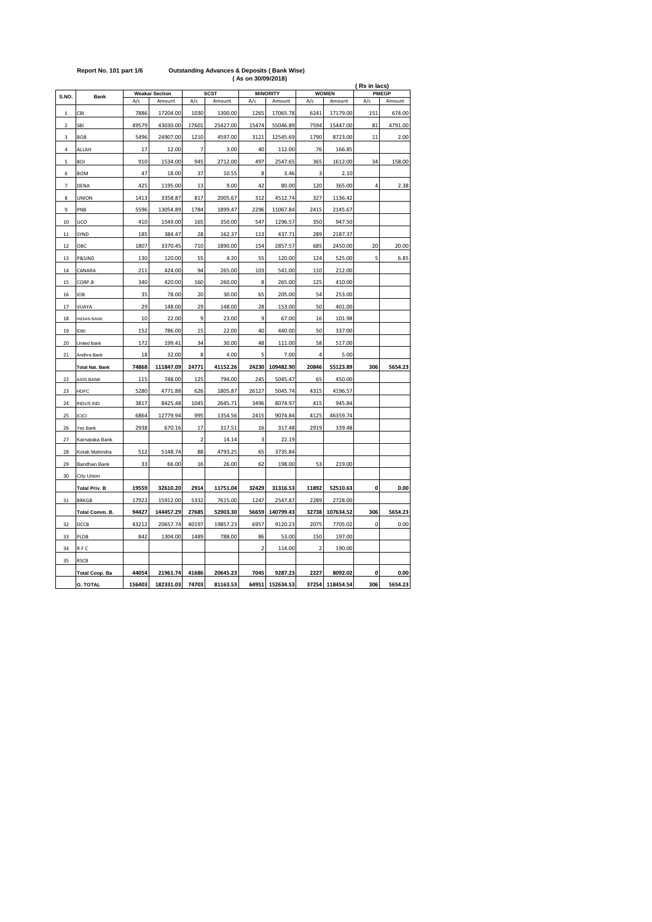|                |                        |        | (Rs in lacs)          |                          |             |                |                 |                         |                 |                |         |
|----------------|------------------------|--------|-----------------------|--------------------------|-------------|----------------|-----------------|-------------------------|-----------------|----------------|---------|
| S.NO.          | Bank                   |        | <b>Weakar Section</b> |                          | <b>SCST</b> |                | <b>MINORITY</b> | <b>WOMEN</b>            | <b>PMEGP</b>    |                |         |
|                |                        | A/c    | Amount                | A/c                      | Amount      | A/c            | Amount          | A/c                     | Amount          | A/c            | Amount  |
| $\mathbf 1$    | CBI                    | 7886   | 17204.00              | 1030                     | 1300.00     | 1265           | 17065.78        | 6241                    | 17179.00        | 151            | 674.00  |
| $\mathfrak{p}$ | SBI                    | 49579  | 43030.00              | 17601                    | 25427.00    | 15474          | 55046.89        | 7594                    | 15447.00        | 81             | 4791.00 |
| 3              | <b>BOB</b>             | 5496   | 24907.00              | 1210                     | 4597.00     | 3121           | 12545.69        | 1790                    | 8723.00         | 11             | 2.00    |
| 4              | ALLAH                  | 17     | 12.00                 | $\overline{7}$           | 3.00        | 40             | 112.00          | 76                      | 166.85          |                |         |
| 5              | <b>BOI</b>             | 910    | 1534.00               | 945                      | 2712.00     | 497            | 2547.65         | 365                     | 1612.00         | 34             | 158.00  |
| 6              | <b>BOM</b>             | 47     | 18.00                 | 37                       | 10.55       | 8              | 3.46            | 3                       | 2.10            |                |         |
| $\overline{7}$ | DENA                   | 425    | 1195.00               | 13                       | 9.00        | 42             | 80.00           | 120                     | 365.00          | $\overline{4}$ | 2.38    |
| 8              | UNION                  | 1413   | 3358.87               | 817                      | 2005.67     | 312            | 4512.74         | 327                     | 1136.42         |                |         |
| 9              | PNB                    | 5596   | 13054.89              | 1784                     | 1899.47     | 2296           | 11067.84        | 2415                    | 2145.67         |                |         |
| 10             | UCO                    | 410    | 1549.00               | 165                      | 350.00      | 547            | 1296.57         | 350                     | 947.50          |                |         |
| 11             | SYND                   | 185    | 384.47                | 28                       | 162.37      | 113            | 437.71          | 289                     | 2187.37         |                |         |
| 12             | OBC                    | 1807   | 3370.45               | 710                      | 1890.00     | 154            | 2857.57         | 685                     | 2450.00         | 20             | 20.00   |
| 13             | P&SIND                 | 130    | 120.00                | 55                       | 4.20        | 55             | 120.00          | 124                     | 525.00          | 5              | 6.85    |
| 14             | CANARA                 | 211    | 424.00                | 94                       | 265.00      | 103            | 541.00          | 110                     | 212.00          |                |         |
| 15             | CORP.B                 | 340    | 420.00                | 160                      | 260.00      | 8              | 265.00          | 125                     | 410.00          |                |         |
| 16             | <b>IOB</b>             | 35     | 78.00                 | 20                       | 30.00       | 65             | 205.00          | 54                      | 253.00          |                |         |
| 17             | VIJAYA                 | 29     | 148.00                | 29                       | 148.00      | 28             | 153.00          | 50                      | 401.00          |                |         |
| 18             | <b>INDIAN BANK</b>     | 10     | 22.00                 | 9                        | 23.00       | 9              | 67.00           | 16                      | 101.98          |                |         |
| 19             | <b>IDBI</b>            | 152    | 786.00                | 15                       | 22.00       | 40             | 440.00          | 50                      | 337.00          |                |         |
| 20             | United Bank            | 172    | 199.41                | 34                       | 30.00       | 48             | 111.00          | 58                      | 517.00          |                |         |
| 21             | Andhra Bank            | 18     | 32.00                 | 8                        | 4.00        | 5              | 7.00            | 4                       | 5.00            |                |         |
|                | <b>Total Nat. Bank</b> | 74868  | 111847.09             | 24771                    | 41152.26    | 24230          | 109482.90       | 20846                   | 55123.89        | 306            | 5654.23 |
| 22             | AXIS BANK              | 115    | 748.00                | 125                      | 794.00      | 245            | 5045.47         | 65                      | 450.00          |                |         |
| 23             | HDFC                   | 5280   | 4771.88               | 626                      | 1805.87     | 26127          | 5045.74         | 4315                    | 4196.57         |                |         |
| 24             | <b>INDUS IND</b>       | 3817   | 8425.48               | 1045                     | 2645.71     | 3496           | 8074.97         | 415                     | 945.84          |                |         |
| 25             | <b>ICICI</b>           | 6864   | 12779.94              | 995                      | 1354.56     | 2415           | 9074.84         | 4125                    | 46359.74        |                |         |
| 26             | Yes Bank               | 2938   | 670.16                | 17                       | 317.51      | 16             | 317.48          | 2919                    | 339.48          |                |         |
| 27             | Karnataka Bank         |        |                       | $\overline{\phantom{a}}$ | 14.14       | 3              | 22.19           |                         |                 |                |         |
| 28             | Kotak Mahindra         | 512    | 5148.74               | 88                       | 4793.25     | 65             | 3735.84         |                         |                 |                |         |
| 29             | Bandhan Bank           | 33     | 66.00                 | 16                       | 26.00       | 62             | 198.00          | 53                      | 219.00          |                |         |
| 30             | City Union             |        |                       |                          |             |                |                 |                         |                 |                |         |
|                | <b>Total Priv. B</b>   | 19559  | 32610.20              | 2914                     | 11751.04    | 32429          | 31316.53        | 11892                   | 52510.63        | 0              | 0.00    |
| 31             | <b>BRKGB</b>           | 17922  | 15912.00              | 5332                     | 7615.00     | 1247           | 2547.87         | 2289                    | 2728.00         |                |         |
|                | Total Comm. B.         | 94427  | 144457.29             | 27685                    | 52903.30    | 56659          | 140799.43       | 32738                   | 107634.52       | 306            | 5654.23 |
| 32             | DCCB                   | 43212  | 20657.74              | 40197                    | 19857.23    | 6957           | 9120.23         | 2075                    | 7705.02         | 0              | 0.00    |
| 33             | PLDB                   | 842    | 1304.00               | 1489                     | 788.00      | 86             | 53.00           | 150                     | 197.00          |                |         |
| 34             | RFC                    |        |                       |                          |             | $\overline{2}$ | 114.00          | $\overline{\mathbf{c}}$ | 190.00          |                |         |
| 35             | <b>RSCB</b>            |        |                       |                          |             |                |                 |                         |                 |                |         |
|                | <b>Total Coop. Ba</b>  | 44054  | 21961.74              | 41686                    | 20645.23    | 7045           | 9287.23         | 2227                    | 8092.02         | 0              | 0.00    |
|                | <b>G. TOTAL</b>        | 156403 | 182331.03             | 74703                    | 81163.53    |                | 64951 152634.53 |                         | 37254 118454.54 | 306            | 5654.23 |

### **Report No. 101 part 1/6 Outstanding Advances & Deposits ( Bank Wise)**